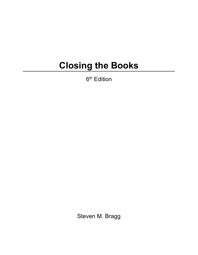## **Closing the Books**

6<sup>th</sup> Edition

Steven M. Bragg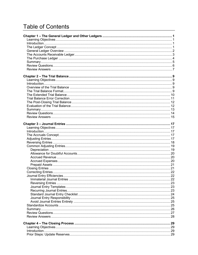## **Table of Contents**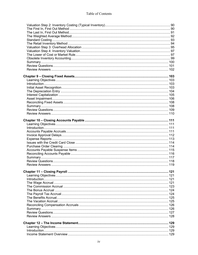| 121 |
|-----|
|     |
|     |
|     |
|     |
|     |
|     |
|     |
|     |
|     |
|     |
|     |
|     |
|     |
|     |
|     |
|     |
|     |